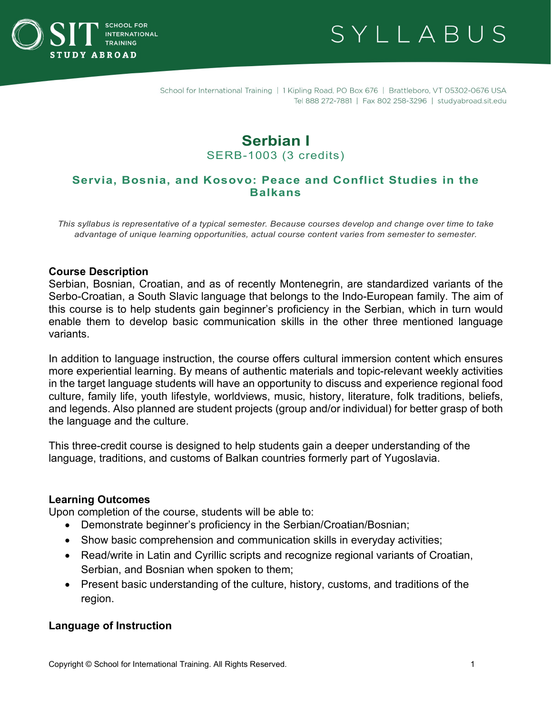



# **Serbian I** SERB-1003 (3 credits)

## **Servia, Bosnia, and Kosovo: Peace and Conflict Studies in the Balkans**

*This syllabus is representative of a typical semester. Because courses develop and change over time to take advantage of unique learning opportunities, actual course content varies from semester to semester.*

#### **Course Description**

Serbian, Bosnian, Croatian, and as of recently Montenegrin, are standardized variants of the Serbo-Croatian, a South Slavic language that belongs to the Indo-European family. The aim of this course is to help students gain beginner's proficiency in the Serbian, which in turn would enable them to develop basic communication skills in the other three mentioned language variants.

In addition to language instruction, the course offers cultural immersion content which ensures more experiential learning. By means of authentic materials and topic-relevant weekly activities in the target language students will have an opportunity to discuss and experience regional food culture, family life, youth lifestyle, worldviews, music, history, literature, folk traditions, beliefs, and legends. Also planned are student projects (group and/or individual) for better grasp of both the language and the culture.

This three-credit course is designed to help students gain a deeper understanding of the language, traditions, and customs of Balkan countries formerly part of Yugoslavia.

#### **Learning Outcomes**

Upon completion of the course, students will be able to:

- Demonstrate beginner's proficiency in the Serbian/Croatian/Bosnian;
- Show basic comprehension and communication skills in everyday activities;
- Read/write in Latin and Cyrillic scripts and recognize regional variants of Croatian, Serbian, and Bosnian when spoken to them;
- Present basic understanding of the culture, history, customs, and traditions of the region.

#### **Language of Instruction**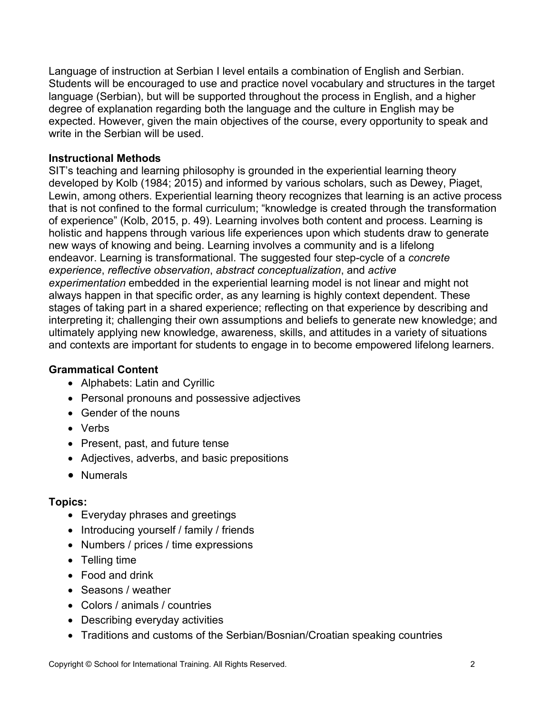Language of instruction at Serbian I level entails a combination of English and Serbian. Students will be encouraged to use and practice novel vocabulary and structures in the target language (Serbian), but will be supported throughout the process in English, and a higher degree of explanation regarding both the language and the culture in English may be expected. However, given the main objectives of the course, every opportunity to speak and write in the Serbian will be used.

## **Instructional Methods**

SIT's teaching and learning philosophy is grounded in the experiential learning theory developed by Kolb (1984; 2015) and informed by various scholars, such as Dewey, Piaget, Lewin, among others. Experiential learning theory recognizes that learning is an active process that is not confined to the formal curriculum; "knowledge is created through the transformation of experience" (Kolb, 2015, p. 49). Learning involves both content and process. Learning is holistic and happens through various life experiences upon which students draw to generate new ways of knowing and being. Learning involves a community and is a lifelong endeavor. Learning is transformational. The suggested four step-cycle of a *concrete experience*, *reflective observation*, *abstract conceptualization*, and *active experimentation* embedded in the experiential learning model is not linear and might not always happen in that specific order, as any learning is highly context dependent. These stages of taking part in a shared experience; reflecting on that experience by describing and interpreting it; challenging their own assumptions and beliefs to generate new knowledge; and ultimately applying new knowledge, awareness, skills, and attitudes in a variety of situations and contexts are important for students to engage in to become empowered lifelong learners.

## **Grammatical Content**

- Alphabets: Latin and Cyrillic
- Personal pronouns and possessive adjectives
- Gender of the nouns
- Verbs
- Present, past, and future tense
- Adjectives, adverbs, and basic prepositions
- Numerals

## **Topics:**

- Everyday phrases and greetings
- Introducing yourself / family / friends
- Numbers / prices / time expressions
- Telling time
- Food and drink
- Seasons / weather
- Colors / animals / countries
- Describing everyday activities
- Traditions and customs of the Serbian/Bosnian/Croatian speaking countries

Copyright © School for International Training. All Rights Reserved. 2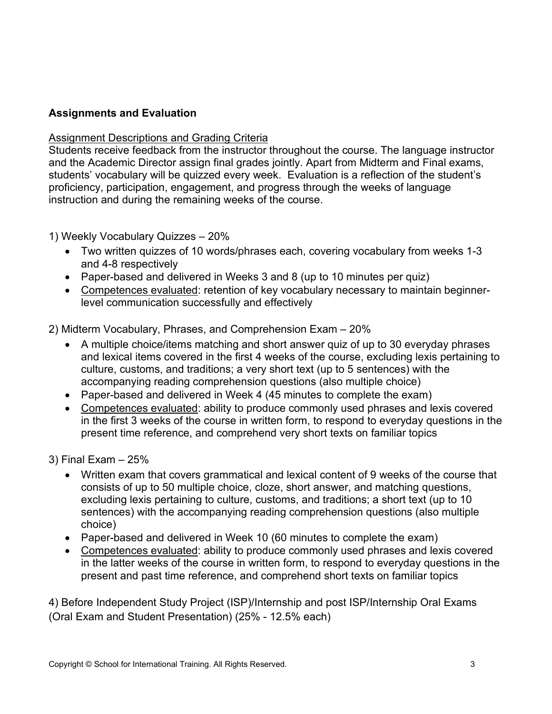## **Assignments and Evaluation**

### **Assignment Descriptions and Grading Criteria**

Students receive feedback from the instructor throughout the course. The language instructor and the Academic Director assign final grades jointly. Apart from Midterm and Final exams, students' vocabulary will be quizzed every week. Evaluation is a reflection of the student's proficiency, participation, engagement, and progress through the weeks of language instruction and during the remaining weeks of the course.

1) Weekly Vocabulary Quizzes – 20%

- Two written quizzes of 10 words/phrases each, covering vocabulary from weeks 1-3 and 4-8 respectively
- Paper-based and delivered in Weeks 3 and 8 (up to 10 minutes per quiz)
- Competences evaluated: retention of key vocabulary necessary to maintain beginnerlevel communication successfully and effectively

2) Midterm Vocabulary, Phrases, and Comprehension Exam – 20%

- A multiple choice/items matching and short answer quiz of up to 30 everyday phrases and lexical items covered in the first 4 weeks of the course, excluding lexis pertaining to culture, customs, and traditions; a very short text (up to 5 sentences) with the accompanying reading comprehension questions (also multiple choice)
- Paper-based and delivered in Week 4 (45 minutes to complete the exam)
- Competences evaluated: ability to produce commonly used phrases and lexis covered in the first 3 weeks of the course in written form, to respond to everyday questions in the present time reference, and comprehend very short texts on familiar topics
- 3) Final Exam 25%
	- Written exam that covers grammatical and lexical content of 9 weeks of the course that consists of up to 50 multiple choice, cloze, short answer, and matching questions, excluding lexis pertaining to culture, customs, and traditions; a short text (up to 10 sentences) with the accompanying reading comprehension questions (also multiple choice)
	- Paper-based and delivered in Week 10 (60 minutes to complete the exam)
	- Competences evaluated: ability to produce commonly used phrases and lexis covered in the latter weeks of the course in written form, to respond to everyday questions in the present and past time reference, and comprehend short texts on familiar topics

4) Before Independent Study Project (ISP)/Internship and post ISP/Internship Oral Exams (Oral Exam and Student Presentation) (25% - 12.5% each)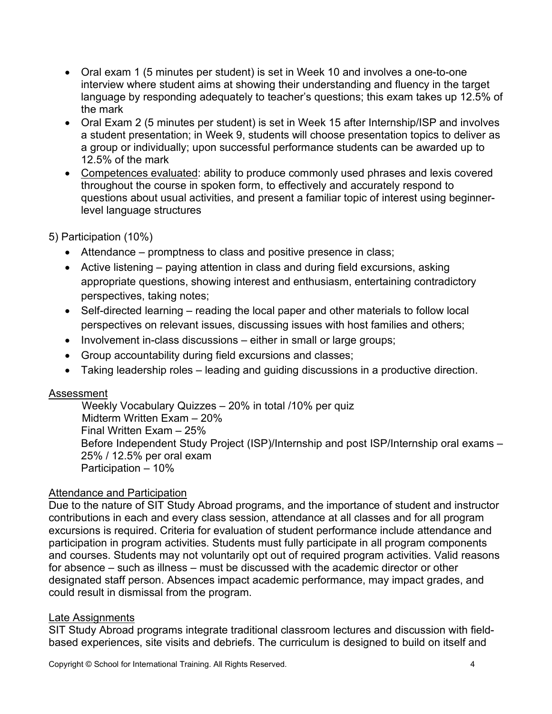- Oral exam 1 (5 minutes per student) is set in Week 10 and involves a one-to-one interview where student aims at showing their understanding and fluency in the target language by responding adequately to teacher's questions; this exam takes up 12.5% of the mark
- Oral Exam 2 (5 minutes per student) is set in Week 15 after Internship/ISP and involves a student presentation; in Week 9, students will choose presentation topics to deliver as a group or individually; upon successful performance students can be awarded up to 12.5% of the mark
- Competences evaluated: ability to produce commonly used phrases and lexis covered throughout the course in spoken form, to effectively and accurately respond to questions about usual activities, and present a familiar topic of interest using beginnerlevel language structures

5) Participation (10%)

- Attendance promptness to class and positive presence in class;
- Active listening paying attention in class and during field excursions, asking appropriate questions, showing interest and enthusiasm, entertaining contradictory perspectives, taking notes;
- Self-directed learning reading the local paper and other materials to follow local perspectives on relevant issues, discussing issues with host families and others;
- Involvement in-class discussions either in small or large groups;
- Group accountability during field excursions and classes;
- Taking leadership roles leading and guiding discussions in a productive direction.

### Assessment

 Weekly Vocabulary Quizzes – 20% in total /10% per quiz Midterm Written Exam – 20% Final Written Exam – 25% Before Independent Study Project (ISP)/Internship and post ISP/Internship oral exams – 25% / 12.5% per oral exam Participation – 10%

### Attendance and Participation

Due to the nature of SIT Study Abroad programs, and the importance of student and instructor contributions in each and every class session, attendance at all classes and for all program excursions is required. Criteria for evaluation of student performance include attendance and participation in program activities. Students must fully participate in all program components and courses. Students may not voluntarily opt out of required program activities. Valid reasons for absence – such as illness – must be discussed with the academic director or other designated staff person. Absences impact academic performance, may impact grades, and could result in dismissal from the program.

### Late Assignments

SIT Study Abroad programs integrate traditional classroom lectures and discussion with fieldbased experiences, site visits and debriefs. The curriculum is designed to build on itself and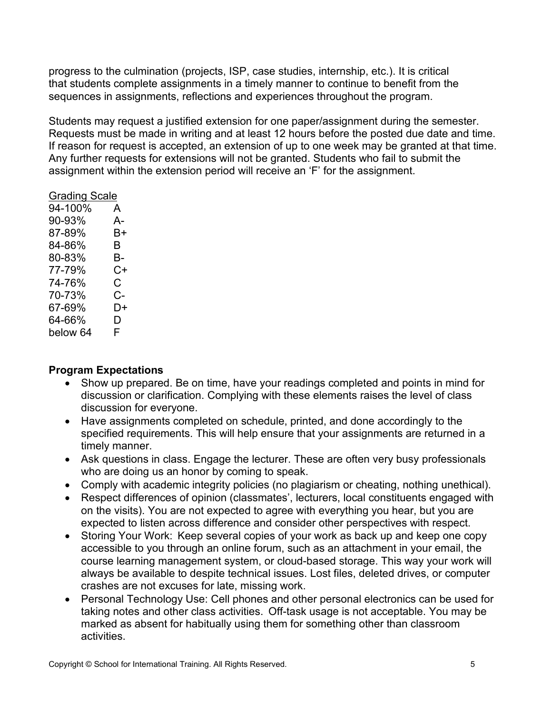progress to the culmination (projects, ISP, case studies, internship, etc.). It is critical that students complete assignments in a timely manner to continue to benefit from the sequences in assignments, reflections and experiences throughout the program.

Students may request a justified extension for one paper/assignment during the semester. Requests must be made in writing and at least 12 hours before the posted due date and time. If reason for request is accepted, an extension of up to one week may be granted at that time. Any further requests for extensions will not be granted. Students who fail to submit the assignment within the extension period will receive an 'F' for the assignment.

### Grading Scale

| 94-100%  | A  |
|----------|----|
| 90-93%   | А- |
| 87-89%   | В+ |
| 84-86%   | В  |
| 80-83%   | В- |
| 77-79%   | C+ |
| 74-76%   | C. |
| 70-73%   | C- |
| 67-69%   | D+ |
| 64-66%   | D  |
| below 64 | F. |

## **Program Expectations**

- Show up prepared. Be on time, have your readings completed and points in mind for discussion or clarification. Complying with these elements raises the level of class discussion for everyone.
- Have assignments completed on schedule, printed, and done accordingly to the specified requirements. This will help ensure that your assignments are returned in a timely manner.
- Ask questions in class. Engage the lecturer. These are often very busy professionals who are doing us an honor by coming to speak.
- Comply with academic integrity policies (no plagiarism or cheating, nothing unethical).
- Respect differences of opinion (classmates', lecturers, local constituents engaged with on the visits). You are not expected to agree with everything you hear, but you are expected to listen across difference and consider other perspectives with respect.
- Storing Your Work: Keep several copies of your work as back up and keep one copy accessible to you through an online forum, such as an attachment in your email, the course learning management system, or cloud-based storage. This way your work will always be available to despite technical issues. Lost files, deleted drives, or computer crashes are not excuses for late, missing work.
- Personal Technology Use: Cell phones and other personal electronics can be used for taking notes and other class activities.  Off-task usage is not acceptable. You may be marked as absent for habitually using them for something other than classroom activities.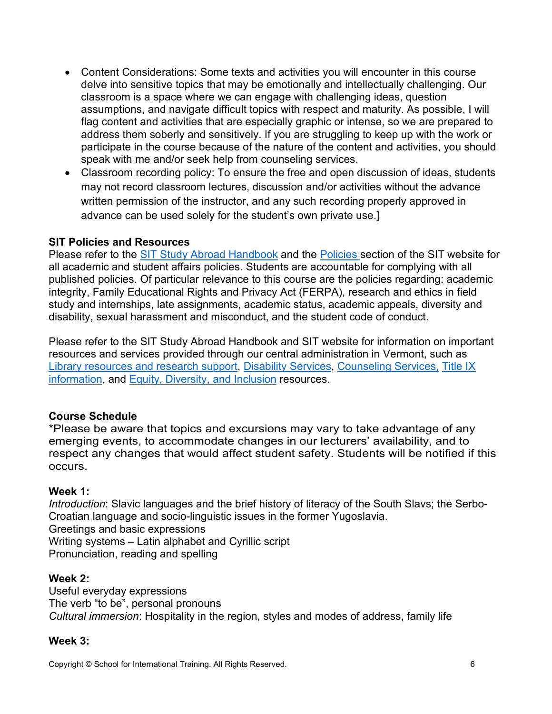- Content Considerations: Some texts and activities you will encounter in this course delve into sensitive topics that may be emotionally and intellectually challenging. Our classroom is a space where we can engage with challenging ideas, question assumptions, and navigate difficult topics with respect and maturity. As possible, I will flag content and activities that are especially graphic or intense, so we are prepared to address them soberly and sensitively. If you are struggling to keep up with the work or participate in the course because of the nature of the content and activities, you should speak with me and/or seek help from counseling services.
- Classroom recording policy: To ensure the free and open discussion of ideas, students may not record classroom lectures, discussion and/or activities without the advance written permission of the instructor, and any such recording properly approved in advance can be used solely for the student's own private use.]

## **SIT Policies and Resources**

Please refer to the [SIT Study Abroad Handbook](https://studyabroad.sit.edu/Student-Handbook/) and the [Policies](https://studyabroad.sit.edu/admitted-students/policies/) section of the SIT website for all academic and student affairs policies. Students are accountable for complying with all published policies. Of particular relevance to this course are the policies regarding: academic integrity, Family Educational Rights and Privacy Act (FERPA), research and ethics in field study and internships, late assignments, academic status, academic appeals, diversity and disability, sexual harassment and misconduct, and the student code of conduct.

Please refer to the SIT Study Abroad Handbook and SIT website for information on important resources and services provided through our central administration in Vermont, such as [Library resources and research support,](https://studyabroad.sit.edu/admitted-students/student-resources/) [Disability Services,](https://studyabroad.sit.edu/health-safety-and-well-being/disability-services/) [Counseling Services,](https://studyabroad.sit.edu/health-safety-and-well-being/counseling-and-mental-health/) [Title IX](https://studyabroad.sit.edu/health-safety-and-well-being/sexual-safety-title-ix/)  [information,](https://studyabroad.sit.edu/health-safety-and-well-being/sexual-safety-title-ix/) and [Equity, Diversity, and Inclusion](https://studyabroad.sit.edu/health-safety-and-well-being/social-identity/) resources.

## **Course Schedule**

\*Please be aware that topics and excursions may vary to take advantage of any emerging events, to accommodate changes in our lecturers' availability, and to respect any changes that would affect student safety. Students will be notified if this occurs.

### **Week 1:**

*Introduction*: Slavic languages and the brief history of literacy of the South Slavs; the Serbo-Croatian language and socio-linguistic issues in the former Yugoslavia. Greetings and basic expressions Writing systems – Latin alphabet and Cyrillic script Pronunciation, reading and spelling

### **Week 2:**

Useful everyday expressions The verb "to be", personal pronouns *Cultural immersion*: Hospitality in the region, styles and modes of address, family life

### **Week 3:**

Copyright © School for International Training. All Rights Reserved. 6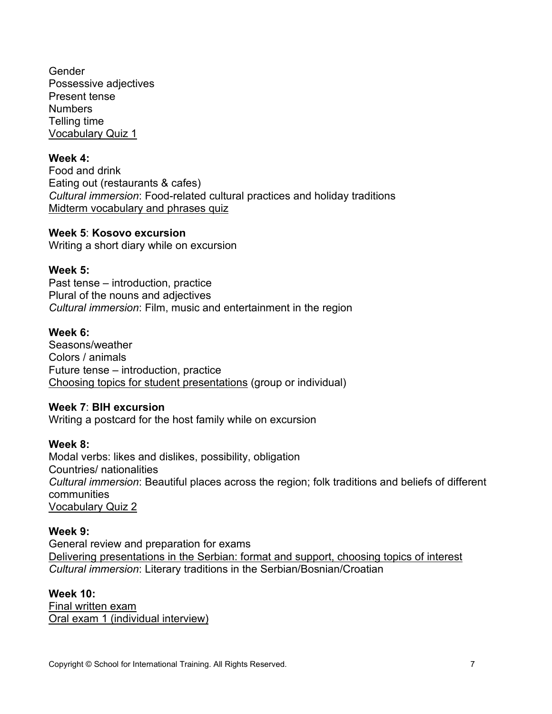**Gender** Possessive adjectives Present tense **Numbers** Telling time Vocabulary Quiz 1

### **Week 4:**

Food and drink Eating out (restaurants & cafes) *Cultural immersion*: Food-related cultural practices and holiday traditions Midterm vocabulary and phrases quiz

#### **Week 5**: **Kosovo excursion**

Writing a short diary while on excursion

### **Week 5:**

Past tense – introduction, practice Plural of the nouns and adjectives *Cultural immersion*: Film, music and entertainment in the region

### **Week 6:**

Seasons/weather Colors / animals Future tense – introduction, practice Choosing topics for student presentations (group or individual)

#### **Week 7**: **BIH excursion**

Writing a postcard for the host family while on excursion

#### **Week 8:**

Modal verbs: likes and dislikes, possibility, obligation Countries/ nationalities *Cultural immersion*: Beautiful places across the region; folk traditions and beliefs of different communities Vocabulary Quiz 2

#### **Week 9:**

General review and preparation for exams Delivering presentations in the Serbian: format and support, choosing topics of interest *Cultural immersion*: Literary traditions in the Serbian/Bosnian/Croatian

#### **Week 10:**

Final written exam Oral exam 1 (individual interview)